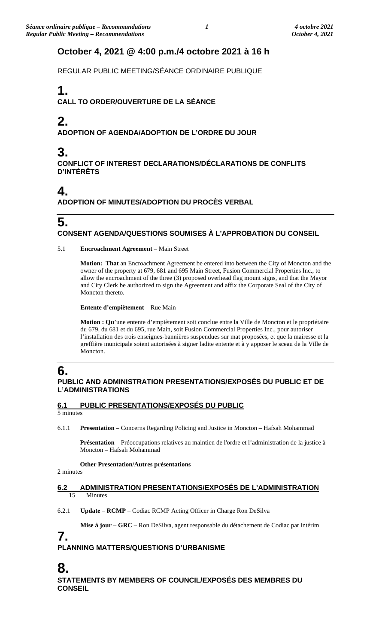## **October 4, 2021 @ 4:00 p.m./4 octobre 2021 à 16 h**

REGULAR PUBLIC MEETING/SÉANCE ORDINAIRE PUBLIQUE

# **1.**

**CALL TO ORDER/OUVERTURE DE LA SÉANCE**

# **2.**

**ADOPTION OF AGENDA/ADOPTION DE L'ORDRE DU JOUR**

# **3.**

**CONFLICT OF INTEREST DECLARATIONS/DÉCLARATIONS DE CONFLITS D'INTÉRÊTS**

## **4.**

**ADOPTION OF MINUTES/ADOPTION DU PROCÈS VERBAL**

### **5. CONSENT AGENDA/QUESTIONS SOUMISES À L'APPROBATION DU CONSEIL**

5.1 **Encroachment Agreement** – Main Street

**Motion: That** an Encroachment Agreement be entered into between the City of Moncton and the owner of the property at 679, 681 and 695 Main Street, Fusion Commercial Properties Inc., to allow the encroachment of the three (3) proposed overhead flag mount signs, and that the Mayor and City Clerk be authorized to sign the Agreement and affix the Corporate Seal of the City of Moncton thereto.

**Entente d'empiètement** – Rue Main

**Motion : Qu**'une entente d'empiètement soit conclue entre la Ville de Moncton et le propriétaire du 679, du 681 et du 695, rue Main, soit Fusion Commercial Properties Inc., pour autoriser l'installation des trois enseignes-bannières suspendues sur mat proposées, et que la mairesse et la greffière municipale soient autorisées à signer ladite entente et à y apposer le sceau de la Ville de Moncton.

# **6.**

### **PUBLIC AND ADMINISTRATION PRESENTATIONS/EXPOSÉS DU PUBLIC ET DE L'ADMINISTRATIONS**

### **6.1 PUBLIC PRESENTATIONS/EXPOSÉS DU PUBLIC**

5 minutes

6.1.1 **Presentation** – Concerns Regarding Policing and Justice in Moncton – Hafsah Mohammad

**Présentation** – Préoccupations relatives au maintien de l'ordre et l'administration de la justice à Moncton – Hafsah Mohammad

**Other Presentation/Autres présentations**

2 minutes

### **6.2 ADMINISTRATION PRESENTATIONS/EXPOSÉS DE L'ADMINISTRATION** Minutes

6.2.1 **Update** – **RCMP** – Codiac RCMP Acting Officer in Charge Ron DeSilva

**Mise à jour** – **GRC** – Ron DeSilva, agent responsable du détachement de Codiac par intérim

### **7. PLANNING MATTERS/QUESTIONS D'URBANISME**

**8.**

**STATEMENTS BY MEMBERS OF COUNCIL/EXPOSÉS DES MEMBRES DU CONSEIL**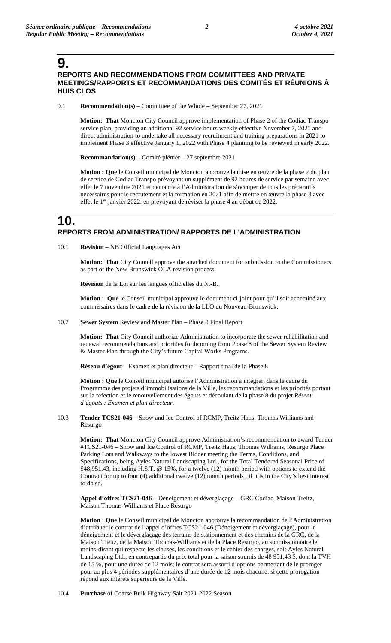**9.**

### **REPORTS AND RECOMMENDATIONS FROM COMMITTEES AND PRIVATE MEETINGS/RAPPORTS ET RECOMMANDATIONS DES COMITÉS ET RÉUNIONS À HUIS CLOS**

9.1 **Recommendation(s)** – Committee of the Whole – September 27, 2021

**Motion: That** Moncton City Council approve implementation of Phase 2 of the Codiac Transpo service plan, providing an additional 92 service hours weekly effective November 7, 2021 and direct administration to undertake all necessary recruitment and training preparations in 2021 to implement Phase 3 effective January 1, 2022 with Phase 4 planning to be reviewed in early 2022.

**Recommandation(s)** – Comité plénier – 27 septembre 2021

**Motion : Que** le Conseil municipal de Moncton approuve la mise en œuvre de la phase 2 du plan de service de Codiac Transpo prévoyant un supplément de 92 heures de service par semaine avec effet le 7 novembre 2021 et demande à l'Administration de s'occuper de tous les préparatifs nécessaires pour le recrutement et la formation en 2021 afin de mettre en œuvre la phase 3 avec effet le 1<sup>er</sup> janvier 2022, en prévoyant de réviser la phase 4 au début de 2022.

## **10. REPORTS FROM ADMINISTRATION/ RAPPORTS DE L'ADMINISTRATION**

10.1 **Revision** – NB Official Languages Act

**Motion: That** City Council approve the attached document for submission to the Commissioners as part of the New Brunswick OLA revision process.

**Révision** de la Loi sur les langues officielles du N.-B.

**Motion : Que** le Conseil municipal approuve le document ci-joint pour qu'il soit acheminé aux commissaires dans le cadre de la révision de la LLO du Nouveau-Brunswick.

10.2 **Sewer System** Review and Master Plan – Phase 8 Final Report

**Motion: That** City Council authorize Administration to incorporate the sewer rehabilitation and renewal recommendations and priorities forthcoming from Phase 8 of the Sewer System Review & Master Plan through the City's future Capital Works Programs.

**Réseau d'égout** – Examen et plan directeur – Rapport final de la Phase 8

**Motion : Que** le Conseil municipal autorise l'Administration à intégrer, dans le cadre du Programme des projets d'immobilisations de la Ville, les recommandations et les priorités portant sur la réfection et le renouvellement des égouts et découlant de la phase 8 du projet *Réseau d'égouts : Examen et plan directeur*.

10.3 **Tender TCS21-046** – Snow and Ice Control of RCMP, Treitz Haus, Thomas Williams and Resurgo

**Motion: That** Moncton City Council approve Administration's recommendation to award Tender #TCS21-046 – Snow and Ice Control of RCMP, Treitz Haus, Thomas Williams, Resurgo Place Parking Lots and Walkways to the lowest Bidder meeting the Terms, Conditions, and Specifications, being Ayles Natural Landscaping Ltd., for the Total Tendered Seasonal Price of \$48,951.43, including H.S.T. @ 15%, for a twelve (12) month period with options to extend the Contract for up to four (4) additional twelve (12) month periods , if it is in the City's best interest to do so.

**Appel d'offres TCS21-046** – Déneigement et déverglaçage – GRC Codiac, Maison Treitz, Maison Thomas-Williams et Place Resurgo

**Motion : Que** le Conseil municipal de Moncton approuve la recommandation de l'Administration d'attribuer le contrat de l'appel d'offres TCS21-046 (Déneigement et déverglaçage), pour le déneigement et le déverglaçage des terrains de stationnement et des chemins de la GRC, de la Maison Treitz, de la Maison Thomas-Williams et de la Place Resurgo, au soumissionnaire le moins-disant qui respecte les clauses, les conditions et le cahier des charges, soit Ayles Natural Landscaping Ltd., en contrepartie du prix total pour la saison soumis de 48 951,43 \$, dont la TVH de 15 %, pour une durée de 12 mois; le contrat sera assorti d'options permettant de le proroger pour au plus 4 périodes supplémentaires d'une durée de 12 mois chacune, si cette prorogation répond aux intérêts supérieurs de la Ville.

10.4 **Purchase** of Coarse Bulk Highway Salt 2021-2022 Season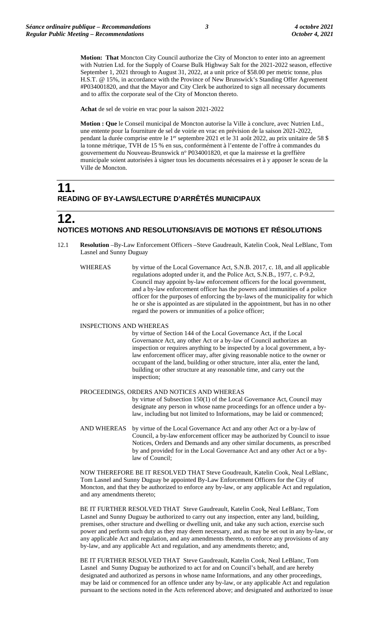**Motion: That** Moncton City Council authorize the City of Moncton to enter into an agreement with Nutrien Ltd. for the Supply of Coarse Bulk Highway Salt for the 2021-2022 season, effective September 1, 2021 through to August 31, 2022, at a unit price of \$58.00 per metric tonne, plus H.S.T. @ 15%, in accordance with the Province of New Brunswick's Standing Offer Agreement #P034001820, and that the Mayor and City Clerk be authorized to sign all necessary documents and to affix the corporate seal of the City of Moncton thereto.

**Achat** de sel de voirie en vrac pour la saison 2021-2022

**Motion : Que** le Conseil municipal de Moncton autorise la Ville à conclure, avec Nutrien Ltd., une entente pour la fourniture de sel de voirie en vrac en prévision de la saison 2021-2022, pendant la durée comprise entre le 1<sup>er</sup> septembre 2021 et le 31 août 2022, au prix unitaire de 58 \$ la tonne métrique, TVH de 15 % en sus, conformément à l'entente de l'offre à commandes du gouvernement du Nouveau-Brunswick n° P034001820, et que la mairesse et la greffière municipale soient autorisées à signer tous les documents nécessaires et à y apposer le sceau de la Ville de Moncton.

## **11. READING OF BY-LAWS/LECTURE D'ARRÊTÉS MUNICIPAUX**

### **12. NOTICES MOTIONS AND RESOLUTIONS/AVIS DE MOTIONS ET RÉSOLUTIONS**

- 12.1 **Resolution** –By-Law Enforcement Officers –Steve Gaudreault, Katelin Cook, Neal LeBlanc, Tom Lasnel and Sunny Duguay
	- WHEREAS by virtue of the Local Governance Act, S.N.B. 2017, c. 18, and all applicable regulations adopted under it, and the Police Act, S.N.B., 1977, c. P-9.2, Council may appoint by-law enforcement officers for the local government, and a by-law enforcement officer has the powers and immunities of a police officer for the purposes of enforcing the by-laws of the municipality for which he or she is appointed as are stipulated in the appointment, but has in no other regard the powers or immunities of a police officer;

#### INSPECTIONS AND WHEREAS

by virtue of Section 144 of the Local Governance Act, if the Local Governance Act, any other Act or a by-law of Council authorizes an inspection or requires anything to be inspected by a local government, a bylaw enforcement officer may, after giving reasonable notice to the owner or occupant of the land, building or other structure, inter alia, enter the land, building or other structure at any reasonable time, and carry out the inspection;

#### PROCEEDINGS, ORDERS AND NOTICES AND WHEREAS

by virtue of Subsection 150(1) of the Local Governance Act, Council may designate any person in whose name proceedings for an offence under a bylaw, including but not limited to Informations, may be laid or commenced;

AND WHEREAS by virtue of the Local Governance Act and any other Act or a by-law of Council, a by-law enforcement officer may be authorized by Council to issue Notices, Orders and Demands and any other similar documents, as prescribed by and provided for in the Local Governance Act and any other Act or a bylaw of Council;

NOW THEREFORE BE IT RESOLVED THAT Steve Goudreault, Katelin Cook, Neal LeBlanc, Tom Lasnel and Sunny Duguay be appointed By-Law Enforcement Officers for the City of Moncton, and that they be authorized to enforce any by-law, or any applicable Act and regulation, and any amendments thereto;

BE IT FURTHER RESOLVED THAT Steve Gaudreault, Katelin Cook, Neal LeBlanc, Tom Lasnel and Sunny Duguay be authorized to carry out any inspection, enter any land, building, premises, other structure and dwelling or dwelling unit, and take any such action, exercise such power and perform such duty as they may deem necessary, and as may be set out in any by-law, or any applicable Act and regulation, and any amendments thereto, to enforce any provisions of any by-law, and any applicable Act and regulation, and any amendments thereto; and,

BE IT FURTHER RESOLVED THAT Steve Gaudreault, Katelin Cook, Neal LeBlanc, Tom Lasnel and Sunny Duguay be authorized to act for and on Council's behalf, and are hereby designated and authorized as persons in whose name Informations, and any other proceedings, may be laid or commenced for an offence under any by-law, or any applicable Act and regulation pursuant to the sections noted in the Acts referenced above; and designated and authorized to issue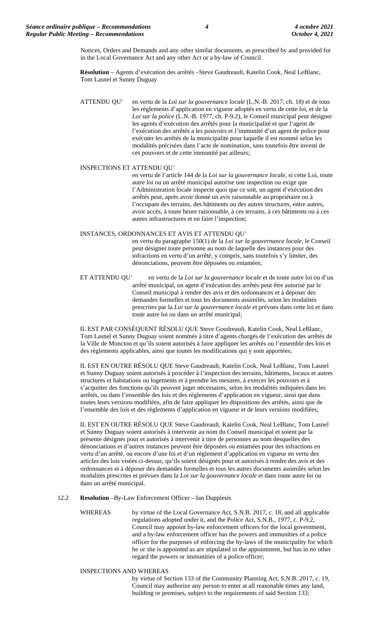Notices, Orders and Demands and any other similar documents, as prescribed by and provided for in the Local Governance Act and any other Act or a by-law of Council.

**Résolution** – Agents d'exécution des arrêtés –Steve Gaudreault, Katelin Cook, Neal LeBlanc, Tom Lasnel et Sunny Duguay

ATTENDU QU' en vertu de la *Loi sur la gouvernance locale* (L.N.-B. 2017, ch. 18) et de tous les règlements d'application en vigueur adoptés en vertu de cette loi, et de la *Loi sur la police* (L.N.-B. 1977, ch. P-9.2), le Conseil municipal peut désigner les agents d'exécution des arrêtés pour la municipalité et que l'agent de l'exécution des arrêtés a les pouvoirs et l'immunité d'un agent de police pour exécuter les arrêtés de la municipalité pour laquelle il est nommé selon les modalités précisées dans l'acte de nomination, sans toutefois être investi de ces pouvoirs et de cette immunité par ailleurs;

#### INSPECTIONS ET ATTENDU QU'

en vertu de l'article 144 de la *Loi sur la gouvernance locale*, si cette Loi, toute autre loi ou un arrêté municipal autorise une inspection ou exige que l'Administration locale inspecte quoi que ce soit, un agent d'exécution des arrêtés peut, après avoir donné un avis raisonnable au propriétaire ou à l'occupant des terrains, des bâtiments ou des autres structures, entre autres, avoir accès, à toute heure raisonnable, à ces terrains, à ces bâtiments ou à ces autres infrastructures et en faire l'inspection;

#### INSTANCES, ORDONNANCES ET AVIS ET ATTENDU QU'

en vertu du paragraphe 150(1) de la *Loi sur la gouvernance locale*, le Conseil peut désigner toute personne au nom de laquelle des instances pour des infractions en vertu d'un arrêté, y compris, sans toutefois s'y limiter, des dénonciations, peuvent être déposées ou entamées;

ET ATTENDU QU' en vertu de la *Loi sur la gouvernance locale* et de toute autre loi ou d'un arrêté municipal, un agent d'exécution des arrêtés peut être autorisé par le Conseil municipal à rendre des avis et des ordonnances et à déposer des demandes formelles et tous les documents assimilés, selon les modalités prescrites par la *Loi sur la gouvernance locale* et prévues dans cette loi et dans toute autre loi ou dans un arrêté municipal;

IL EST PAR CONSÉQUENT RÉSOLU QUE Steve Goudreault, Katelin Cook, Neal LeBlanc, Tom Lasnel et Sunny Duguay soient nommés à titre d'agents chargés de l'exécution des arrêtés de la Ville de Moncton et qu'ils soient autorisés à faire appliquer les arrêtés ou l'ensemble des lois et des règlements applicables, ainsi que toutes les modifications qui y sont apportées;

IL EST EN OUTRE RÉSOLU QUE Steve Gaudreault, Katelin Cook, Neal LeBlanc, Tom Lasnel et Sunny Duguay soient autorisés à procéder à l'inspection des terrains, bâtiments, locaux et autres structures et habitations ou logements et à prendre les mesures, à exercer les pouvoirs et à s'acquitter des fonctions qu'ils peuvent juger nécessaires, selon les modalités indiquées dans les arrêtés, ou dans l'ensemble des lois et des règlements d'application en vigueur, ainsi que dans toutes leurs versions modifiées, afin de faire appliquer les dispositions des arrêtés, ainsi que de l'ensemble des lois et des règlements d'application en vigueur et de leurs versions modifiées;

IL EST EN OUTRE RÉSOLU QUE Steve Gaudreault, Katelin Cook, Neal LeBlanc, Tom Lasnel et Sunny Duguay soient autorisés à intervenir au nom du Conseil municipal et soient par la présente désignés pour et autorisés à intervenir à titre de personnes au nom desquelles des dénonciations et d'autres instances peuvent être déposées ou entamées pour des infractions en vertu d'un arrêté, ou encore d'une loi et d'un règlement d'application en vigueur en vertu des articles des lois visées ci-dessus, qu'ils soient désignés pour et autorisés à rendre des avis et des ordonnances et à déposer des demandes formelles et tous les autres documents assimilés selon les modalités prescrites et prévues dans la *Loi sur la gouvernance locale* et dans toute autre loi ou dans un arrêté municipal.

#### 12.2 **Resolution** –By-Law Enforcement Officer – Ian Dupplesis

WHEREAS by virtue of the Local Governance Act, S.N.B. 2017, c. 18, and all applicable regulations adopted under it, and the Police Act, S.N.B., 1977, c. P-9.2, Council may appoint by-law enforcement officers for the local government, and a by-law enforcement officer has the powers and immunities of a police officer for the purposes of enforcing the by-laws of the municipality for which he or she is appointed as are stipulated in the appointment, but has in no other regard the powers or immunities of a police officer;

#### INSPECTIONS AND WHEREAS

by virtue of Section 133 of the Community Planning Act, S.N.B. 2017, c. 19, Council may authorize any person to enter at all reasonable times any land, building or premises, subject to the requirements of said Section 133;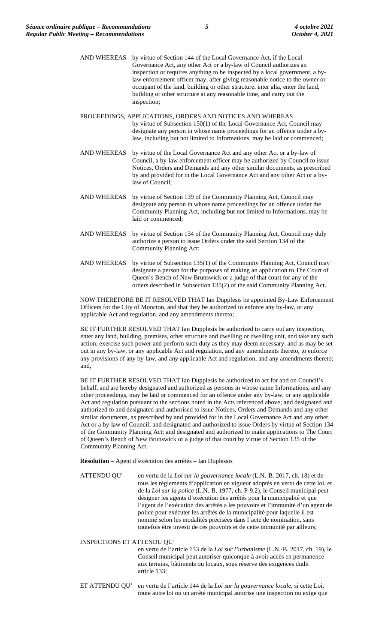- AND WHEREAS by virtue of Section 144 of the Local Governance Act, if the Local Governance Act, any other Act or a by-law of Council authorizes an inspection or requires anything to be inspected by a local government, a bylaw enforcement officer may, after giving reasonable notice to the owner or occupant of the land, building or other structure, inter alia, enter the land, building or other structure at any reasonable time, and carry out the inspection;
- PROCEEDINGS, APPLICATIONS, ORDERS AND NOTICES AND WHEREAS by virtue of Subsection 150(1) of the Local Governance Act, Council may designate any person in whose name proceedings for an offence under a bylaw, including but not limited to Informations, may be laid or commenced;
- AND WHEREAS by virtue of the Local Governance Act and any other Act or a by-law of Council, a by-law enforcement officer may be authorized by Council to issue Notices, Orders and Demands and any other similar documents, as prescribed by and provided for in the Local Governance Act and any other Act or a bylaw of Council;
- AND WHEREAS by virtue of Section 139 of the Community Planning Act, Council may designate any person in whose name proceedings for an offence under the Community Planning Act, including but not limited to Informations, may be laid or commenced;
- AND WHEREAS by virtue of Section 134 of the Community Planning Act, Council may duly authorize a person to issue Orders under the said Section 134 of the Community Planning Act;
- AND WHEREAS by virtue of Subsection 135(1) of the Community Planning Act, Council may designate a person for the purposes of making an application to The Court of Queen's Bench of New Brunswick or a judge of that court for any of the orders described in Subsection 135(2) of the said Community Planning Act.

NOW THEREFORE BE IT RESOLVED THAT Ian Dupplesis be appointed By-Law Enforcement Officers for the City of Moncton, and that they be authorized to enforce any by-law, or any applicable Act and regulation, and any amendments thereto;

BE IT FURTHER RESOLVED THAT Ian Dupplesis be authorized to carry out any inspection, enter any land, building, premises, other structure and dwelling or dwelling unit, and take any such action, exercise such power and perform such duty as they may deem necessary, and as may be set out in any by-law, or any applicable Act and regulation, and any amendments thereto, to enforce any provisions of any by-law, and any applicable Act and regulation, and any amendments thereto; and,

BE IT FURTHER RESOLVED THAT Ian Dupplesis be authorized to act for and on Council's behalf, and are hereby designated and authorized as persons in whose name Informations, and any other proceedings, may be laid or commenced for an offence under any by-law, or any applicable Act and regulation pursuant to the sections noted in the Acts referenced above; and designated and authorized to and designated and authorised to issue Notices, Orders and Demands and any other similar documents, as prescribed by and provided for in the Local Governance Act and any other Act or a by-law of Council; and designated and authorized to issue Orders by virtue of Section 134 of the Community Planning Act; and designated and authorized to make applications to The Court of Queen's Bench of New Brunswick or a judge of that court by virtue of Section 135 of the Community Planning Act.

**Résolution** – Agent d'exécution des arrêtés – Ian Duplessis

ATTENDU QU' en vertu de la *Loi sur la gouvernance locale* (L.N.-B. 2017, ch. 18) et de tous les règlements d'application en vigueur adoptés en vertu de cette loi, et de la *Loi sur la police* (L.N.-B. 1977, ch. P-9.2), le Conseil municipal peut désigner les agents d'exécution des arrêtés pour la municipalité et que l'agent de l'exécution des arrêtés a les pouvoirs et l'immunité d'un agent de police pour exécuter les arrêtés de la municipalité pour laquelle il est nommé selon les modalités précisées dans l'acte de nomination, sans toutefois être investi de ces pouvoirs et de cette immunité par ailleurs;

INSPECTIONS ET ATTENDU QU'

en vertu de l'article 133 de la *Loi sur l'urbanisme* (L.N.-B. 2017, ch. 19), le Conseil municipal peut autoriser quiconque à avoir accès en permanence aux terrains, bâtiments ou locaux, sous réserve des exigences dudit article 133;

ET ATTENDU QU' en vertu de l'article 144 de la *Loi sur la gouvernance locale*, si cette Loi, toute autre loi ou un arrêté municipal autorise une inspection ou exige que